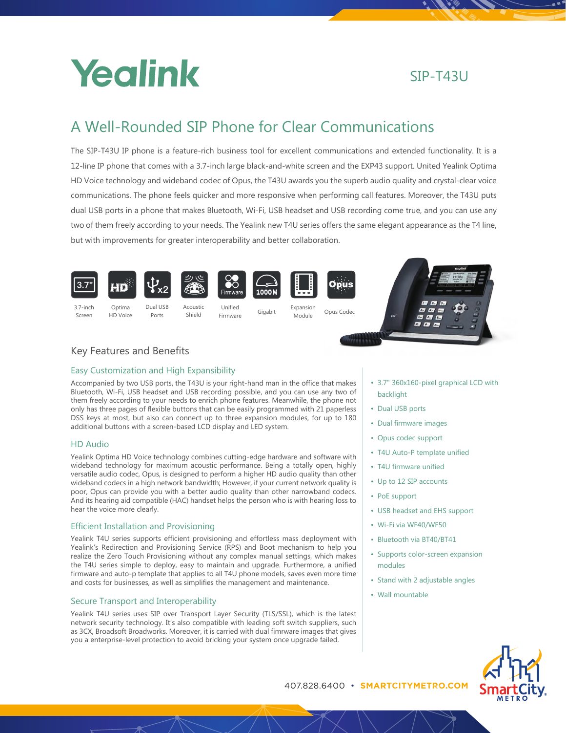

# SIP-T43U

# A Well-Rounded SIP Phone for Clear Communications

The SIP-T43U IP phone is a feature-rich business tool for excellent communications and extended functionality. It is a 12-line IP phone that comes with a 3.7-inch large black-and-white screen and the EXP43 support. United Yealink Optima HD Voice technology and wideband codec of Opus, the T43U awards you the superb audio quality and crystal-clear voice communications. The phone feels quicker and more responsive when performing call features. Moreover, the T43U puts dual USB ports in a phone that makes Bluetooth, Wi-Fi, USB headset and USB recording come true, and you can use any two of them freely according to your needs. The Yealink new T4U series offers the same elegant appearance as the T4 line, but with improvements for greater interoperability and better collaboration.











3.7-inch Screen

Optima HD Voice Ports



Shield Firmware Gigabit



Opus



# Key Features and Benefits

## Easy Customization and High Expansibility

Accompanied by two USB ports, the T43U is your right-hand man in the office that makes Bluetooth, Wi-Fi, USB headset and USB recording possible, and you can use any two of them freely according to your needs to enrich phone features. Meanwhile, the phone not only has three pages of flexible buttons that can be easily programmed with 21 paperless DSS keys at most, but also can connect up to three expansion modules, for up to 180 additional buttons with a screen-based LCD display and LED system.

### HD Audio

Yealink Optima HD Voice technology combines cutting-edge hardware and software with wideband technology for maximum acoustic performance. Being a totally open, highly versatile audio codec, Opus, is designed to perform a higher HD audio quality than other wideband codecs in a high network bandwidth; However, if your current network quality is poor, Opus can provide you with a better audio quality than other narrowband codecs. And its hearing aid compatible (HAC) handset helps the person who is with hearing loss to hear the voice more clearly.

## Efficient Installation and Provisioning

Yealink T4U series supports efficient provisioning and effortless mass deployment with Yealink's Redirection and Provisioning Service (RPS) and Boot mechanism to help you realize the Zero Touch Provisioning without any complex manual settings, which makes the T4U series simple to deploy, easy to maintain and upgrade. Furthermore, a unified firmware and auto-p template that applies to all T4U phone models, saves even more time and costs for businesses, as well as simplifies the management and maintenance.

# Secure Transport and Interoperability

Yealink T4U series uses SIP over Transport Layer Security (TLS/SSL), which is the latest network security technology. It's also compatible with leading soft switch suppliers, such as 3CX, Broadsoft Broadworks. Moreover, it is carried with dual fimrware images that gives you a enterprise-level protection to avoid bricking your system once upgrade failed.

- 3.7" 360x160-pixel graphical LCD with backlight
- Dual USB ports
- Dual firmware images
- Opus codec support
- T4U Auto-P template unified
- T4U firmware unified
- Up to 12 SIP accounts
- PoE support
- USB headset and EHS support
- Wi-Fi via WF40/WF50
- Bluetooth via BT40/BT41
- Supports color-screen expansion modules
- Stand with 2 adjustable angles
- Wall mountable



407.828.6400 • **SMARTCITYMETRO.COM** C